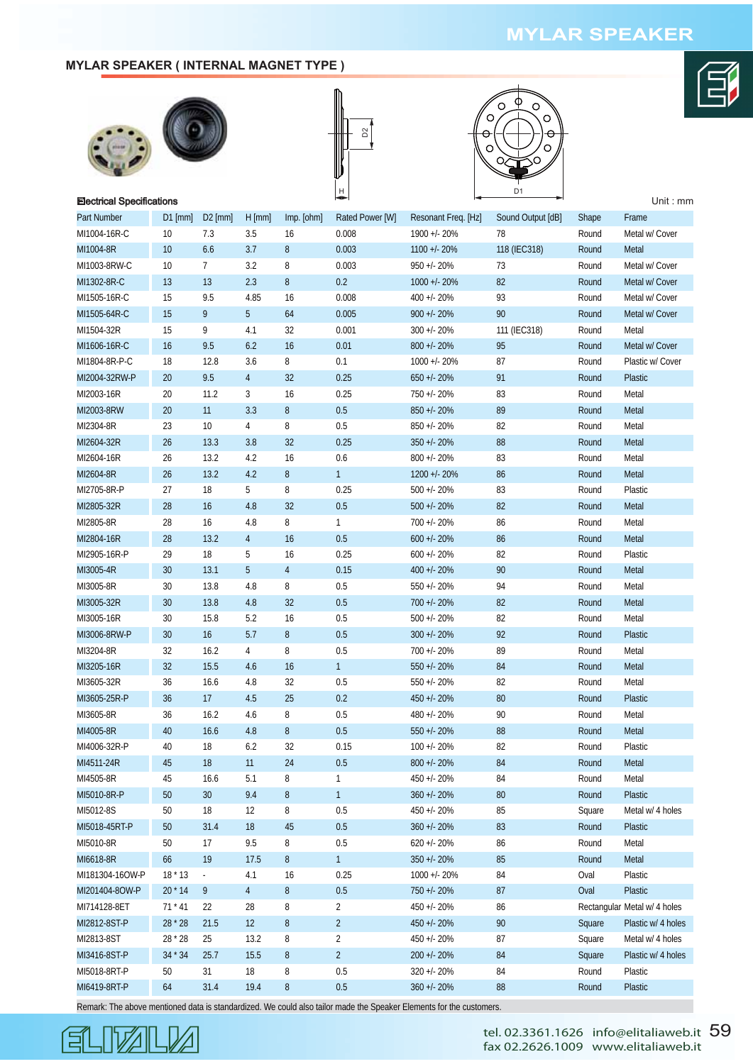## **MYLAR SPEAKER**

### **MYLAR SPEAKER ( INTERNAL MAGNET TYPE )**







| <b>Electrical Specifications</b> |           |                |                |                |                 |                     |                   |        | Unit: $mm$                   |
|----------------------------------|-----------|----------------|----------------|----------------|-----------------|---------------------|-------------------|--------|------------------------------|
| Part Number                      | $D1$ [mm] | $D2$ [mm]      | $H$ [mm]       | Imp. [ohm]     | Rated Power [W] | Resonant Freq. [Hz] | Sound Output [dB] | Shape  | Frame                        |
| MI1004-16R-C                     | 10        | 7.3            | 3.5            | 16             | 0.008           | 1900 +/- 20%        | 78                | Round  | Metal w/ Cover               |
| MI1004-8R                        | 10        | 6.6            | 3.7            | $\, 8$         | 0.003           | 1100 +/- 20%        | 118 (IEC318)      | Round  | Metal                        |
| MI1003-8RW-C                     | 10        | $\overline{7}$ | 3.2            | 8              | 0.003           | $950 + 20%$         | 73                | Round  | Metal w/ Cover               |
| MI1302-8R-C                      | 13        | 13             | 2.3            | $\, 8$         | 0.2             | 1000 +/- 20%        | 82                | Round  | Metal w/ Cover               |
| MI1505-16R-C                     | 15        | 9.5            | 4.85           | 16             | 0.008           | 400 +/- 20%         | 93                | Round  | Metal w/ Cover               |
| MI1505-64R-C                     | 15        | 9              | 5              | 64             | 0.005           | $900 + 20%$         | 90                | Round  | Metal w/ Cover               |
| MI1504-32R                       | 15        | 9              | 4.1            | 32             | 0.001           | $300 + 20%$         | 111 (IEC318)      | Round  | Metal                        |
| MI1606-16R-C                     | 16        | 9.5            | 6.2            | 16             | 0.01            | $800 + 20%$         | 95                | Round  | Metal w/ Cover               |
| MI1804-8R-P-C                    | 18        | 12.8           | 3.6            | 8              | 0.1             | 1000 +/- 20%        | 87                | Round  | Plastic w/ Cover             |
| MI2004-32RW-P                    | 20        | 9.5            | $\overline{4}$ | 32             | 0.25            | $650 + 20%$         | 91                | Round  | <b>Plastic</b>               |
| MI2003-16R                       | 20        | 11.2           | 3              | 16             | 0.25            | 750 +/- 20%         | 83                | Round  | Metal                        |
| MI2003-8RW                       | 20        | 11             | 3.3            | $\, 8$         | 0.5             | $850 + 20%$         | 89                | Round  | Metal                        |
| MI2304-8R                        | 23        | 10             | 4              | 8              | 0.5             | 850 +/- 20%         | 82                | Round  | Metal                        |
| MI2604-32R                       | 26        | 13.3           | 3.8            | 32             | 0.25            | 350 +/- 20%         | 88                | Round  | Metal                        |
| MI2604-16R                       | 26        | 13.2           | 4.2            | 16             | 0.6             | $800 + 20%$         | 83                | Round  | Metal                        |
| MI2604-8R                        | 26        | 13.2           | 4.2            | $\, 8$         | $\mathbf{1}$    | 1200 +/- 20%        | 86                | Round  | Metal                        |
| MI2705-8R-P                      | 27        | 18             | 5              | 8              | 0.25            | 500 +/- 20%         | 83                | Round  | Plastic                      |
| MI2805-32R                       | 28        | 16             | 4.8            | 32             | 0.5             | $500 + 20%$         | 82                | Round  | Metal                        |
| MI2805-8R                        | 28        | 16             | 4.8            | 8              | $\mathbf{1}$    | 700 +/- 20%         | 86                | Round  | Metal                        |
| MI2804-16R                       | 28        | 13.2           | $\overline{4}$ | 16             | 0.5             | $600 + 20%$         | 86                | Round  | Metal                        |
| MI2905-16R-P                     | 29        | 18             | 5              | 16             | 0.25            | $600 + 20%$         | 82                | Round  | Plastic                      |
| MI3005-4R                        | 30        | 13.1           | 5              | $\overline{4}$ | 0.15            | $400 + 20%$         | 90                | Round  | Metal                        |
| MI3005-8R                        | 30        | 13.8           | 4.8            | 8              | 0.5             | 550 +/- 20%         | 94                | Round  | Metal                        |
| MI3005-32R                       | 30        | 13.8           | 4.8            | 32             | 0.5             | 700 +/- 20%         | 82                | Round  | Metal                        |
| MI3005-16R                       | 30        | 15.8           | 5.2            | 16             | 0.5             | $500 + 20%$         | 82                | Round  | Metal                        |
| MI3006-8RW-P                     | 30        | 16             | 5.7            | $\, 8$         | 0.5             | $300 + 20%$         | 92                | Round  | Plastic                      |
| MI3204-8R                        | 32        | 16.2           | 4              | 8              | 0.5             | 700 +/- 20%         | 89                | Round  | Metal                        |
| MI3205-16R                       | 32        | 15.5           | 4.6            | 16             | $\mathbf{1}$    | $550 + 20%$         | 84                | Round  | Metal                        |
| MI3605-32R                       | 36        | 16.6           | 4.8            | 32             | 0.5             | 550 +/- 20%         | 82                | Round  | Metal                        |
| MI3605-25R-P                     | 36        | 17             | 4.5            | 25             | 0.2             | 450 +/- 20%         | 80                | Round  | Plastic                      |
| MI3605-8R                        | 36        | 16.2           | 4.6            | 8              | 0.5             | 480 +/- 20%         | 90                | Round  | Metal                        |
| MI4005-8R                        | 40        | 16.6           | 4.8            | $\, 8$         | 0.5             | $550 + 20%$         | 88                | Round  | Metal                        |
| MI4006-32R-P                     | 40        | 18             | 6.2            | 32             | 0.15            | $100 + 20%$         | 82                | Round  | Plastic                      |
| MI4511-24R                       | 45        | 18             | 11,            | 24             | 0.5             | 800 +/- 20%         | 84                | Round  | Metal                        |
| MI4505-8R                        | 45        | 16.6           | 5.1            | 8              | 1               | 450 +/- 20%         | 84                | Round  | Metal                        |
| MI5010-8R-P                      | 50        | 30             | 9.4            | $\, 8$         | $\mathbf{1}$    | $360 + 20%$         | $80\,$            | Round  | Plastic                      |
| MI5012-8S                        | 50        | 18             | 12             | 8              | 0.5             | 450 +/- 20%         | 85                | Square | Metal w/ 4 holes             |
| MI5018-45RT-P                    | 50        | 31.4           | 18             | 45             | 0.5             | $360 + 20%$         | 83                | Round  | Plastic                      |
| MI5010-8R                        | 50        | 17             | 9.5            | 8              | 0.5             | $620 + 20%$         | 86                | Round  | Metal                        |
| MI6618-8R                        | 66        | 19             | 17.5           | $\, 8$         | $\mathbf{1}$    | $350 + 20%$         | 85                | Round  | Metal                        |
| MI181304-16OW-P                  | $18*13$   | ÷.             | 4.1            | 16             | 0.25            | 1000 +/- 20%        | 84                | Oval   | Plastic                      |
| MI201404-8OW-P                   | $20 * 14$ | 9              | $\overline{4}$ | $\, 8$         | $0.5\,$         | 750 +/- 20%         | 87                | Oval   | Plastic                      |
| MI714128-8ET                     | $71 * 41$ | 22             | 28             | 8              | $\overline{2}$  | 450 +/- 20%         | 86                |        | Rectangular Metal w/ 4 holes |
| MI2812-8ST-P                     | 28 * 28   | 21.5           | 12             | $\, 8$         | $\overline{c}$  | 450 +/- 20%         | 90                | Square | Plastic w/ 4 holes           |
| MI2813-8ST                       | 28 * 28   | $25\,$         | 13.2           | 8              | $\overline{2}$  | 450 +/- 20%         | 87                | Square | Metal w/ 4 holes             |

64 31.4 19.4 8 0.5 360 +/- 20% 88 Round 3150 18 8 0.5 320 +/- 20% 84 Round 34 \* 34 25.7 15.5 8 2 200 +/- 20% 84 Square

MI6419-8RT-P Plastic

Remark: The above mentioned data is standardized. We could also tailor made the Speaker Elements for the customers.



MI3416-8ST-P MI5018-8RT-P

Plastic

Plastic w/ 4 holes